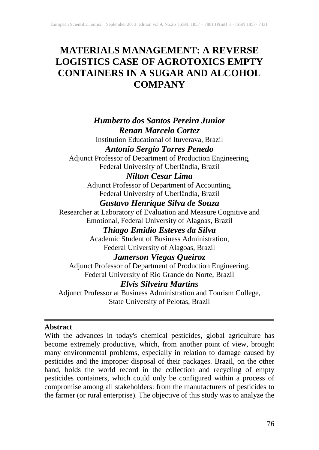# **MATERIALS MANAGEMENT: A REVERSE LOGISTICS CASE OF AGROTOXICS EMPTY CONTAINERS IN A SUGAR AND ALCOHOL COMPANY**

## *Humberto dos Santos Pereira Junior Renan Marcelo Cortez*

Institution Educational of Ituverava, Brazil *Antonio Sergio Torres Penedo*

Adjunct Professor of Department of Production Engineering, Federal University of Uberlândia, Brazil

## *Nilton Cesar Lima*

Adjunct Professor of Department of Accounting, Federal University of Uberlândia, Brazil

## *Gustavo Henrique Silva de Souza*

Researcher at Laboratory of Evaluation and Measure Cognitive and Emotional, Federal University of Alagoas, Brazil

## *Thiago Emidio Esteves da Silva*

Academic Student of Business Administration, Federal University of Alagoas, Brazil

### *Jamerson Viegas Queiroz*

Adjunct Professor of Department of Production Engineering, Federal University of Rio Grande do Norte, Brazil

## *Elvis Silveira Martins*

Adjunct Professor at Business Administration and Tourism College, State University of Pelotas, Brazil

#### **Abstract**

With the advances in today's chemical pesticides, global agriculture has become extremely productive, which, from another point of view, brought many environmental problems, especially in relation to damage caused by pesticides and the improper disposal of their packages. Brazil, on the other hand, holds the world record in the collection and recycling of empty pesticides containers, which could only be configured within a process of compromise among all stakeholders: from the manufacturers of pesticides to the farmer (or rural enterprise). The objective of this study was to analyze the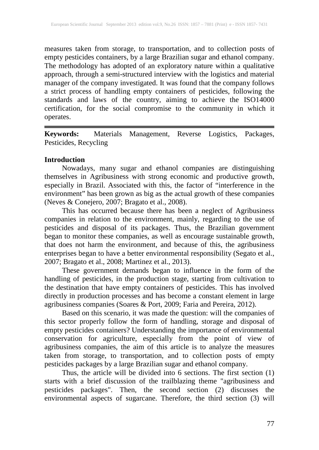measures taken from storage, to transportation, and to collection posts of empty pesticides containers, by a large Brazilian sugar and ethanol company. The methodology has adopted of an exploratory nature within a qualitative approach, through a semi-structured interview with the logistics and material manager of the company investigated. It was found that the company follows a strict process of handling empty containers of pesticides, following the standards and laws of the country, aiming to achieve the ISO14000 certification, for the social compromise to the community in which it operates.

**Keywords:** Materials Management, Reverse Logistics, Packages, Pesticides, Recycling

#### **Introduction**

Nowadays, many sugar and ethanol companies are distinguishing themselves in Agribusiness with strong economic and productive growth, especially in Brazil. Associated with this, the factor of "interference in the environment" has been grown as big as the actual growth of these companies (Neves & Conejero, 2007; Bragato et al., 2008).

This has occurred because there has been a neglect of Agribusiness companies in relation to the environment, mainly, regarding to the use of pesticides and disposal of its packages. Thus, the Brazilian government began to monitor these companies, as well as encourage sustainable growth, that does not harm the environment, and because of this, the agribusiness enterprises began to have a better environmental responsibility (Segato et al., 2007; Bragato et al., 2008; Martinez et al., 2013).

These government demands began to influence in the form of the handling of pesticides, in the production stage, starting from cultivation to the destination that have empty containers of pesticides. This has involved directly in production processes and has become a constant element in large agribusiness companies (Soares & Port, 2009; Faria and Pereira, 2012).

Based on this scenario, it was made the question: will the companies of this sector properly follow the form of handling, storage and disposal of empty pesticides containers? Understanding the importance of environmental conservation for agriculture, especially from the point of view of agribusiness companies, the aim of this article is to analyze the measures taken from storage, to transportation, and to collection posts of empty pesticides packages by a large Brazilian sugar and ethanol company.

Thus, the article will be divided into 6 sections. The first section (1) starts with a brief discussion of the trailblazing theme "agribusiness and pesticides packages". Then, the second section (2) discusses the environmental aspects of sugarcane. Therefore, the third section (3) will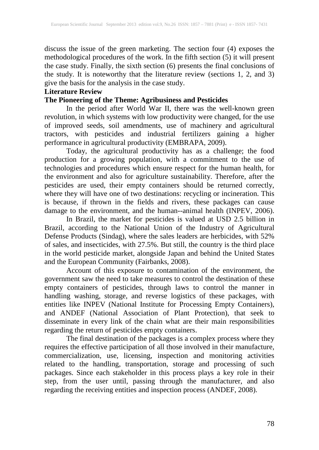discuss the issue of the green marketing. The section four (4) exposes the methodological procedures of the work. In the fifth section (5) it will present the case study. Finally, the sixth section (6) presents the final conclusions of the study. It is noteworthy that the literature review (sections 1, 2, and 3) give the basis for the analysis in the case study.

#### **Literature Review**

#### **The Pioneering of the Theme: Agribusiness and Pesticides**

In the period after World War II, there was the well-known green revolution, in which systems with low productivity were changed, for the use of improved seeds, soil amendments, use of machinery and agricultural tractors, with pesticides and industrial fertilizers gaining a higher performance in agricultural productivity (EMBRAPA, 2009).

Today, the agricultural productivity has as a challenge; the food production for a growing population, with a commitment to the use of technologies and procedures which ensure respect for the human health, for the environment and also for agriculture sustainability. Therefore, after the pesticides are used, their empty containers should be returned correctly, where they will have one of two destinations: recycling or incineration. This is because, if thrown in the fields and rivers, these packages can cause damage to the environment, and the human--animal health (INPEV, 2006).

In Brazil, the market for pesticides is valued at USD 2.5 billion in Brazil, according to the National Union of the Industry of Agricultural Defense Products (Sindag), where the sales leaders are herbicides, with 52% of sales, and insecticides, with 27.5%. But still, the country is the third place in the world pesticide market, alongside Japan and behind the United States and the European Community (Fairbanks, 2008).

Account of this exposure to contamination of the environment, the government saw the need to take measures to control the destination of these empty containers of pesticides, through laws to control the manner in handling washing, storage, and reverse logistics of these packages, with entities like INPEV (National Institute for Processing Empty Containers), and ANDEF (National Association of Plant Protection), that seek to disseminate in every link of the chain what are their main responsibilities regarding the return of pesticides empty containers.

The final destination of the packages is a complex process where they requires the effective participation of all those involved in their manufacture, commercialization, use, licensing, inspection and monitoring activities related to the handling, transportation, storage and processing of such packages. Since each stakeholder in this process plays a key role in their step, from the user until, passing through the manufacturer, and also regarding the receiving entities and inspection process (ANDEF, 2008).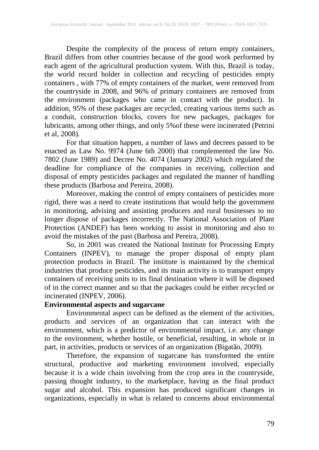Despite the complexity of the process of return empty containers, Brazil differs from other countries because of the good work performed by each agent of the agricultural production system. With this, Brazil is today, the world record holder in collection and recycling of pesticides empty containers , with 77% of empty containers of the market, were removed from the countryside in 2008, and 96% of primary containers are removed from the environment (packages who came in contact with the product). In addition, 95% of these packages are recycled, creating various items such as a conduit, construction blocks, covers for new packages, packages for lubricants, among other things, and only 5%of these were incinerated (Petrini et al, 2008).

For that situation happen, a number of laws and decrees passed to be enacted as Law No. 9974 (June 6th 2000) that complemented the law No. 7802 (June 1989) and Decree No. 4074 (January 2002) which regulated the deadline for compliance of the companies in receiving, collection and disposal of empty pesticides packages and regulated the manner of handling these products (Barbosa and Pereira, 2008).

Moreover, making the control of empty containers of pesticides more rigid, there was a need to create institutions that would help the government in monitoring, advising and assisting producers and rural businesses to no longer dispose of packages incorrectly. The National Association of Plant Protection (ANDEF) has been working to assist in monitoring and also to avoid the mistakes of the past (Barbosa and Pereira, 2008).

So, in 2001 was created the National Institute for Processing Empty Containers (INPEV), to manage the proper disposal of empty plant protection products in Brazil. The institute is maintained by the chemical industries that produce pesticides, and its main activity is to transport empty containers of receiving units to its final destination where it will be disposed of in the correct manner and so that the packages could be either recycled or incinerated (INPEV, 2006).

#### **Environmental aspects and sugarcane**

Environmental aspect can be defined as the element of the activities, products and services of an organization that can interact with the environment, which is a predictor of environmental impact, i.e. any change to the environment, whether hostile, or beneficial, resulting, in whole or in part, in activities, products or services of an organization (Bigatão, 2009).

Therefore, the expansion of sugarcane has transformed the entire structural, productive and marketing environment involved, especially because it is a wide chain involving from the crop area in the countryside, passing thought industry, to the marketplace, having as the final product sugar and alcohol. This expansion has produced significant changes in organizations, especially in what is related to concerns about environmental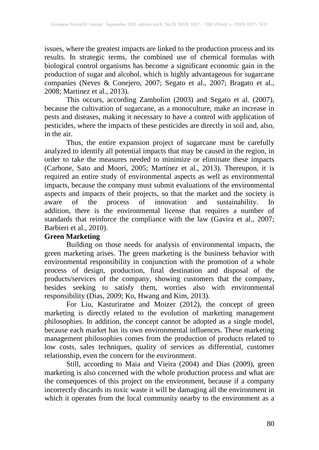issues, where the greatest impacts are linked to the production process and its results. In strategic terms, the combined use of chemical formulas with biological control organisms has become a significant economic gain in the production of sugar and alcohol, which is highly advantageous for sugarcane companies (Neves & Conejero, 2007; Segato et al., 2007; Bragato et al., 2008; Martinez et al., 2013).

This occurs, according Zambolim (2003) and Segato et al. (2007), because the cultivation of sugarcane, as a monoculture, make an increase in pests and diseases, making it necessary to have a control with application of pesticides, where the impacts of these pesticides are directly in soil and, also, in the air.

Thus, the entire expansion project of sugarcane must be carefully analyzed to identify all potential impacts that may be caused in the region, in order to take the measures needed to minimize or eliminate these impacts (Carbone, Sato and Moori, 2005; Martínez et al., 2013). Thereupon, it is required an entire study of environmental aspects as well as environmental impacts, because the company must submit evaluations of the environmental aspects and impacts of their projects, so that the market and the society is aware of the process of innovation and sustainability. In addition, there is the environmental license that requires a number of standards that reinforce the compliance with the law (Gavira et al., 2007; Barbieri et al., 2010).

#### **Green Marketing**

Building on those needs for analysis of environmental impacts, the green marketing arises. The green marketing is the business behavior with environmental responsibility in conjunction with the promotion of a whole process of design, production, final destination and disposal of the products/services of the company, showing customers that the company, besides seeking to satisfy them, worries also with environmental responsibility (Dias, 2009; Ko, Hwang and Kim, 2013).

For Liu, Kasturiratne and Moizer (2012), the concept of green marketing is directly related to the evolution of marketing management philosophies. In addition, the concept cannot be adopted as a single model, because each market has its own environmental influences. These marketing management philosophies comes from the production of products related to low costs, sales techniques, quality of services as differential, customer relationship, even the concern for the environment.

Still, according to Maia and Vieira (2004) and Dias (2009), green marketing is also concerned with the whole production process and what are the consequences of this project on the environment, because if a company incorrectly discards its toxic waste it will be damaging all the environment in which it operates from the local community nearby to the environment as a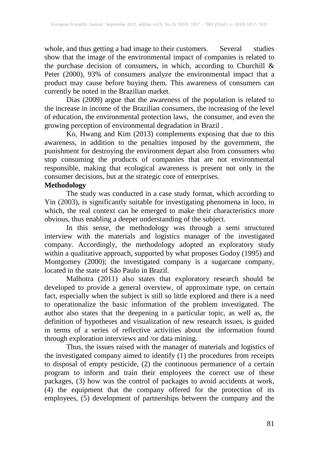whole, and thus getting a bad image to their customers. Several studies show that the image of the environmental impact of companies is related to the purchase decision of consumers, in which, according to Churchill & Peter (2000), 93% of consumers analyze the environmental impact that a product may cause before buying them. This awareness of consumers can currently be noted in the Brazilian market.

Dias (2009) argue that the awareness of the population is related to the increase in income of the Brazilian consumers, the increasing of the level of education, the environmental protection laws, the consumer, and even the growing perception of environmental degradation in Brazil .

Ko, Hwang and Kim (2013) complements exposing that due to this awareness, in addition to the penalties imposed by the government, the punishment for destroying the environment depart also from consumers who stop consuming the products of companies that are not environmental responsible, making that ecological awareness is present not only in the consumer decisions, but at the strategic core of enterprises.

#### **Methodology**

The study was conducted in a case study format, which according to Yin (2003), is significantly suitable for investigating phenomena in loco, in which, the real context can be emerged to make their characteristics more obvious, thus enabling a deeper understanding of the subject.

In this sense, the methodology was through a semi structured interview with the materials and logistics manager of the investigated company. Accordingly, the methodology adopted an exploratory study within a qualitative approach, supported by what proposes Godoy (1995) and Montgomey (2000); the investigated company is a sugarcane company, located in the state of São Paulo in Brazil.

Malhotra (2011) also states that exploratory research should be developed to provide a general overview, of approximate type, on certain fact, especially when the subject is still so little explored and there is a need to operationalize the basic information of the problem investigated. The author also states that the deepening in a particular topic, as well as, the definition of hypotheses and visualization of new research issues, is guided in terms of a series of reflective activities about the information found through exploration interviews and /or data mining.

Thus, the issues raised with the manager of materials and logistics of the investigated company aimed to identify (1) the procedures from receipts to disposal of empty pesticide, (2) the continuous permanence of a certain program to inform and train their employees the correct use of these packages, (3) how was the control of packages to avoid accidents at work, (4) the equipment that the company offered for the protection of its employees, (5) development of partnerships between the company and the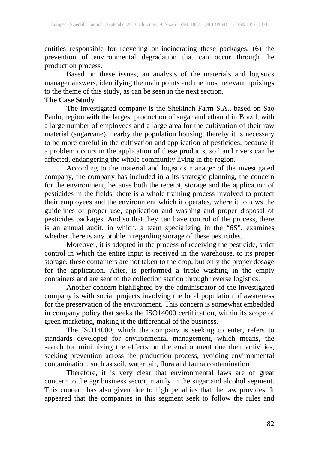entities responsible for recycling or incinerating these packages, (6) the prevention of environmental degradation that can occur through the production process.

Based on these issues, an analysis of the materials and logistics manager answers, identifying the main points and the most relevant uprisings to the theme of this study, as can be seen in the next section.

#### **The Case Study**

The investigated company is the Shekinah Farm S.A., based on Sao Paulo, region with the largest production of sugar and ethanol in Brazil, with a large number of employees and a large area for the cultivation of their raw material (sugarcane), nearby the population housing, thereby it is necessary to be more careful in the cultivation and application of pesticides, because if a problem occurs in the application of these products, soil and rivers can be affected, endangering the whole community living in the region.

According to the material and logistics manager of the investigated company, the company has included in a its strategic planning, the concern for the environment, because both the receipt, storage and the application of pesticides in the fields, there is a whole training process involved to protect their employees and the environment which it operates, where it follows the guidelines of proper use, application and washing and proper disposal of pesticides packages. And so that they can have control of the process, there is an annual audit, in which, a team specializing in the "6S", examines whether there is any problem regarding storage of these pesticides.

Moreover, it is adopted in the process of receiving the pesticide, strict control in which the entire input is received in the warehouse, to its proper storage; these containers are not taken to the crop, but only the proper dosage for the application. After, is performed a triple washing in the empty containers and are sent to the collection station through reverse logistics.

Another concern highlighted by the administrator of the investigated company is with social projects involving the local population of awareness for the preservation of the environment. This concern is somewhat embedded in company policy that seeks the ISO14000 certification, within its scope of green marketing, making it the differential of the business.

The ISO14000, which the company is seeking to enter, refers to standards developed for environmental management, which means, the search for minimizing the effects on the environment due their activities, seeking prevention across the production process, avoiding environmental contamination, such as soil, water, air, flora and fauna contamination .

Therefore, it is very clear that environmental laws are of great concern to the agribusiness sector, mainly in the sugar and alcohol segment. This concern has also given due to high penalties that the law provides. It appeared that the companies in this segment seek to follow the rules and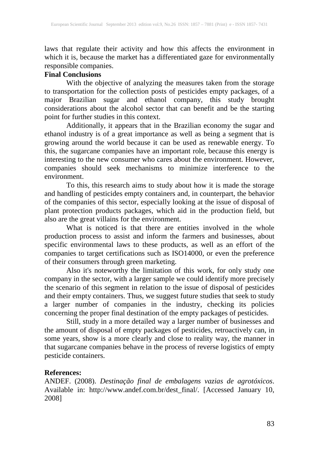laws that regulate their activity and how this affects the environment in which it is, because the market has a differentiated gaze for environmentally responsible companies.

#### **Final Conclusions**

With the objective of analyzing the measures taken from the storage to transportation for the collection posts of pesticides empty packages, of a major Brazilian sugar and ethanol company, this study brought considerations about the alcohol sector that can benefit and be the starting point for further studies in this context.

Additionally, it appears that in the Brazilian economy the sugar and ethanol industry is of a great importance as well as being a segment that is growing around the world because it can be used as renewable energy. To this, the sugarcane companies have an important role, because this energy is interesting to the new consumer who cares about the environment. However, companies should seek mechanisms to minimize interference to the environment.

To this, this research aims to study about how it is made the storage and handling of pesticides empty containers and, in counterpart, the behavior of the companies of this sector, especially looking at the issue of disposal of plant protection products packages, which aid in the production field, but also are the great villains for the environment.

What is noticed is that there are entities involved in the whole production process to assist and inform the farmers and businesses, about specific environmental laws to these products, as well as an effort of the companies to target certifications such as ISO14000, or even the preference of their consumers through green marketing.

Also it's noteworthy the limitation of this work, for only study one company in the sector, with a larger sample we could identify more precisely the scenario of this segment in relation to the issue of disposal of pesticides and their empty containers. Thus, we suggest future studies that seek to study a larger number of companies in the industry, checking its policies concerning the proper final destination of the empty packages of pesticides.

Still, study in a more detailed way a larger number of businesses and the amount of disposal of empty packages of pesticides, retroactively can, in some years, show is a more clearly and close to reality way, the manner in that sugarcane companies behave in the process of reverse logistics of empty pesticide containers.

#### **References:**

ANDEF. (2008). *Destinação final de embalagens vazias de agrotóxicos*. Available in: http://www.andef.com.br/dest\_final/. [Accessed January 10, 2008]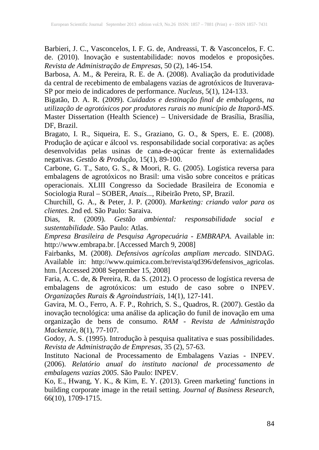Barbieri, J. C., Vasconcelos, I. F. G. de, Andreassi, T. & Vasconcelos, F. C. de. (2010). Inovação e sustentabilidade: novos modelos e proposições. *Revista de Administração de Empresas*, 50 (2), 146-154.

Barbosa, A. M., & Pereira, R. E. de A. (2008). Avaliação da produtividade da central de recebimento de embalagens vazias de agrotóxicos de Ituverava-SP por meio de indicadores de performance. *Nucleus*, 5(1), 124-133.

Bigatão, D. A. R. (2009). *Cuidados e destinação final de embalagens, na utilização de agrotóxicos por produtores rurais no município de Itaporã-MS*. Master Dissertation (Health Science) – Universidade de Brasília, Brasília, DF, Brazil.

Bragato, I. R., Siqueira, E. S., Graziano, G. O., & Spers, E. E. (2008). Produção de açúcar e álcool vs. responsabilidade social corporativa: as ações desenvolvidas pelas usinas de cana-de-açúcar frente às externalidades negativas. *Gestão & Produção*, 15(1), 89-100.

Carbone, G. T., Sato, G. S., & Moori, R. G. (2005). Logística reversa para embalagens de agrotóxicos no Brasil: uma visão sobre conceitos e práticas operacionais. XLIII Congresso da Sociedade Brasileira de Economia e Sociologia Rural – SOBER, *Anais...*, Ribeirão Preto, SP, Brazil.

Churchill, G. A., & Peter, J. P. (2000). *Marketing: criando valor para os clientes*. 2nd ed. São Paulo: Saraiva.

Dias, R. (2009). *Gestão ambiental: responsabilidade social e sustentabilidade*. São Paulo: Atlas.

*Empresa Brasileira de Pesquisa Agropecuária - EMBRAPA*. Available in: http://www.embrapa.br. [Accessed March 9, 2008]

Fairbanks, M. (2008). *Defensivos agrícolas ampliam mercado*. SINDAG. Available in: http://www.quimica.com.br/revista/qd396/defensivos\_agricolas. htm. [Accessed 2008 September 15, 2008]

Faria, A. C. de, & Pereira, R. da S. (2012). O processo de logística reversa de embalagens de agrotóxicos: um estudo de caso sobre o INPEV. *Organizações Rurais & Agroindustriais,* 14(1), 127-141.

Gavira, M. O., Ferro, A. F. P., Rohrich, S. S., Quadros, R. (2007). Gestão da inovação tecnológica: uma análise da aplicação do funil de inovação em uma organização de bens de consumo. *RAM - Revista de Administração Mackenzie*, 8(1), 77-107.

Godoy, A. S. (1995). Introdução à pesquisa qualitativa e suas possibilidades. *Revista de Administração de Empresas*, 35 (2), 57-63.

Instituto Nacional de Processamento de Embalagens Vazias - INPEV. (2006). *Relatório anual do instituto nacional de processamento de embalagens vazias 2005*. São Paulo: INPEV.

Ko, E., Hwang, Y. K., & Kim, E. Y. (2013). Green marketing' functions in building corporate image in the retail setting. *Journal of Business Research*, 66(10), 1709-1715.